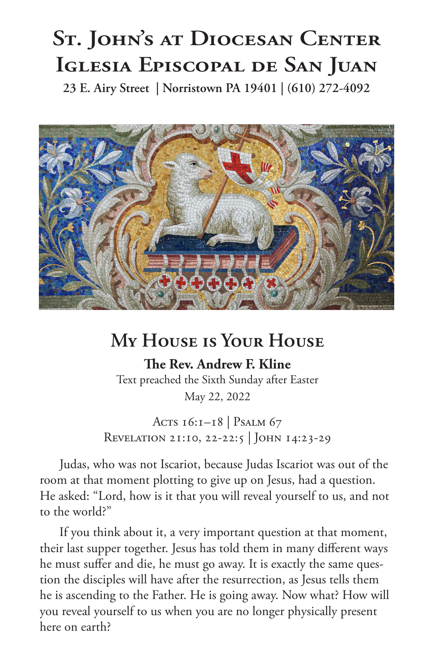## **St. John's at Diocesan Center Iglesia Episcopal de San Juan**

**23 E. Airy Street | Norristown PA 19401 | (610) 272-4092**



## **My House is Your House**

**The Rev. Andrew F. Kline** Text preached the Sixth Sunday after Easter May 22, 2022

Acts 16:1-18 | Psalm 67

Revelation 21:10, 22-22:5 | John 14:23-29

Judas, who was not Iscariot, because Judas Iscariot was out of the room at that moment plotting to give up on Jesus, had a question. He asked: "Lord, how is it that you will reveal yourself to us, and not to the world?"

If you think about it, a very important question at that moment, their last supper together. Jesus has told them in many different ways he must suffer and die, he must go away. It is exactly the same question the disciples will have after the resurrection, as Jesus tells them he is ascending to the Father. He is going away. Now what? How will you reveal yourself to us when you are no longer physically present here on earth?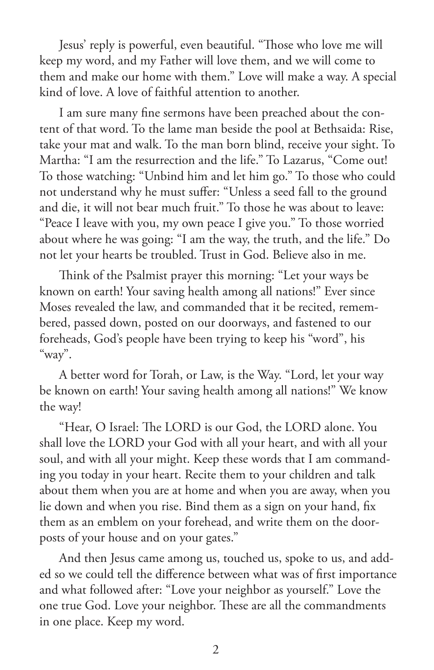Jesus' reply is powerful, even beautiful. "Those who love me will keep my word, and my Father will love them, and we will come to them and make our home with them." Love will make a way. A special kind of love. A love of faithful attention to another.

I am sure many fine sermons have been preached about the content of that word. To the lame man beside the pool at Bethsaida: Rise, take your mat and walk. To the man born blind, receive your sight. To Martha: "I am the resurrection and the life." To Lazarus, "Come out! To those watching: "Unbind him and let him go." To those who could not understand why he must suffer: "Unless a seed fall to the ground and die, it will not bear much fruit." To those he was about to leave: "Peace I leave with you, my own peace I give you." To those worried about where he was going: "I am the way, the truth, and the life." Do not let your hearts be troubled. Trust in God. Believe also in me.

Think of the Psalmist prayer this morning: "Let your ways be known on earth! Your saving health among all nations!" Ever since Moses revealed the law, and commanded that it be recited, remembered, passed down, posted on our doorways, and fastened to our foreheads, God's people have been trying to keep his "word", his "way".

A better word for Torah, or Law, is the Way. "Lord, let your way be known on earth! Your saving health among all nations!" We know the way!

"Hear, O Israel: The LORD is our God, the LORD alone. You shall love the LORD your God with all your heart, and with all your soul, and with all your might. Keep these words that I am commanding you today in your heart. Recite them to your children and talk about them when you are at home and when you are away, when you lie down and when you rise. Bind them as a sign on your hand, fix them as an emblem on your forehead, and write them on the doorposts of your house and on your gates."

And then Jesus came among us, touched us, spoke to us, and added so we could tell the difference between what was of first importance and what followed after: "Love your neighbor as yourself." Love the one true God. Love your neighbor. These are all the commandments in one place. Keep my word.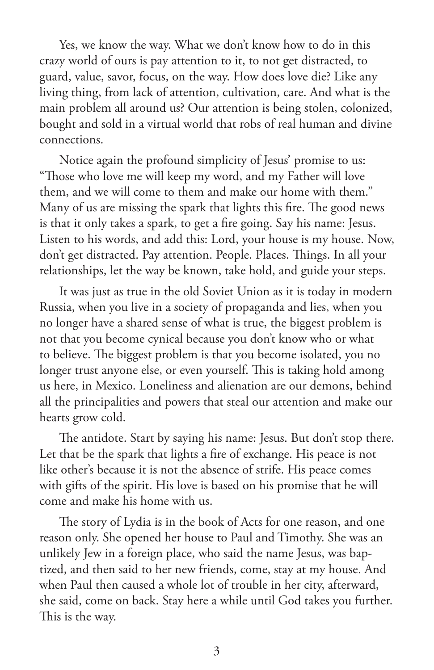Yes, we know the way. What we don't know how to do in this crazy world of ours is pay attention to it, to not get distracted, to guard, value, savor, focus, on the way. How does love die? Like any living thing, from lack of attention, cultivation, care. And what is the main problem all around us? Our attention is being stolen, colonized, bought and sold in a virtual world that robs of real human and divine connections.

Notice again the profound simplicity of Jesus' promise to us: "Those who love me will keep my word, and my Father will love them, and we will come to them and make our home with them." Many of us are missing the spark that lights this fire. The good news is that it only takes a spark, to get a fire going. Say his name: Jesus. Listen to his words, and add this: Lord, your house is my house. Now, don't get distracted. Pay attention. People. Places. Things. In all your relationships, let the way be known, take hold, and guide your steps.

It was just as true in the old Soviet Union as it is today in modern Russia, when you live in a society of propaganda and lies, when you no longer have a shared sense of what is true, the biggest problem is not that you become cynical because you don't know who or what to believe. The biggest problem is that you become isolated, you no longer trust anyone else, or even yourself. This is taking hold among us here, in Mexico. Loneliness and alienation are our demons, behind all the principalities and powers that steal our attention and make our hearts grow cold.

The antidote. Start by saying his name: Jesus. But don't stop there. Let that be the spark that lights a fire of exchange. His peace is not like other's because it is not the absence of strife. His peace comes with gifts of the spirit. His love is based on his promise that he will come and make his home with us.

The story of Lydia is in the book of Acts for one reason, and one reason only. She opened her house to Paul and Timothy. She was an unlikely Jew in a foreign place, who said the name Jesus, was baptized, and then said to her new friends, come, stay at my house. And when Paul then caused a whole lot of trouble in her city, afterward, she said, come on back. Stay here a while until God takes you further. This is the way.